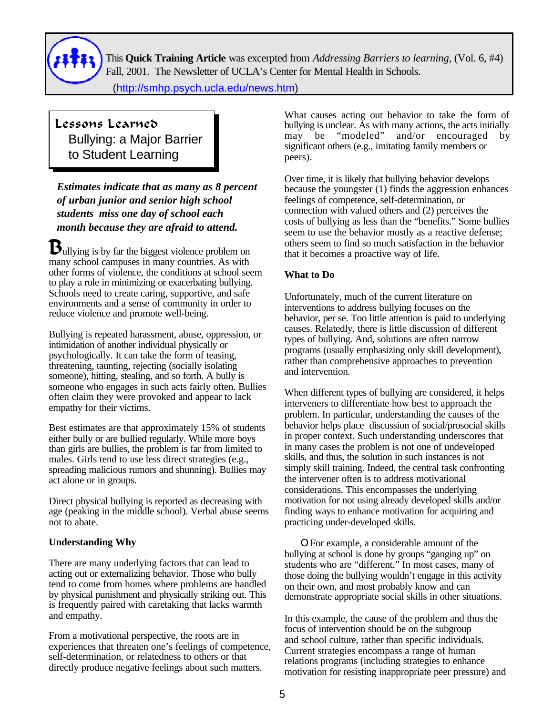

This **Quick Training Article** was excerpted from *Addressing Barriers to learning*, (Vol. 6, #4) Fall, 2001. The Newsletter of UCLA's Center for Mental Health in Schools.

(http://[smhp.psych.ucla.edu/news.htm\)](http://smhp.psych.ucla.edu/news.htm)

## Lessons Learned Bullying: a Major Barrier to Student Learning

*Estimates indicate that as many as 8 percent of urban junior and senior high school students miss one day of school each month because they are afraid to attend.*

 $\mathbf{B}_{\text{ullying}}$  is by far the biggest violence problem on many school campuses in many countries. As with other forms of violence, the conditions at school seem to play a role in minimizing or exacerbating bullying. Schools need to create caring, supportive, and safe environments and a sense of community in order to reduce violence and promote well-being.

Bullying is repeated harassment, abuse, oppression, or intimidation of another individual physically or psychologically. It can take the form of teasing, threatening, taunting, rejecting (socially isolating someone), hitting, stealing, and so forth. A bully is someone who engages in such acts fairly often. Bullies often claim they were provoked and appear to lack empathy for their victims.

Best estimates are that approximately 15% of students either bully or are bullied regularly. While more boys than girls are bullies, the problem is far from limited to males. Girls tend to use less direct strategies (e.g., spreading malicious rumors and shunning). Bullies may act alone or in groups.

Direct physical bullying is reported as decreasing with age (peaking in the middle school). Verbal abuse seems not to abate.

## **Understanding Why**

There are many underlying factors that can lead to acting out or externalizing behavior. Those who bully tend to come from homes where problems are handled by physical punishment and physically striking out. This is frequently paired with caretaking that lacks warmth and empathy.

From a motivational perspective, the roots are in experiences that threaten one's feelings of competence, self-determination, or relatedness to others or that directly produce negative feelings about such matters.

What causes acting out behavior to take the form of bullying is unclear. As with many actions, the acts initially may be "modeled" and/or encouraged by significant others (e.g., imitating family members or peers).

Over time, it is likely that bullying behavior develops because the youngster (1) finds the aggression enhances feelings of competence, self-determination, or connection with valued others and (2) perceives the costs of bullying as less than the "benefits." Some bullies seem to use the behavior mostly as a reactive defense; others seem to find so much satisfaction in the behavior that it becomes a proactive way of life.

## **What to Do**

Unfortunately, much of the current literature on interventions to address bullying focuses on the behavior, per se. Too little attention is paid to underlying causes. Relatedly, there is little discussion of different types of bullying. And, solutions are often narrow programs (usually emphasizing only skill development), rather than comprehensive approaches to prevention and intervention.

When different types of bullying are considered, it helps interveners to differentiate how best to approach the problem. In particular, understanding the causes of the behavior helps place discussion of social/prosocial skills in proper context. Such understanding underscores that in many cases the problem is not one of undeveloped skills, and thus, the solution in such instances is not simply skill training. Indeed, the central task confronting the intervener often is to address motivational considerations. This encompasses the underlying motivation for not using already developed skills and/or finding ways to enhance motivation for acquiring and practicing under-developed skills.

OFor example, a considerable amount of the bullying at school is done by groups "ganging up" on students who are "different." In most cases, many of those doing the bullying wouldn't engage in this activity on their own, and most probably know and can demonstrate appropriate social skills in other situations.

In this example, the cause of the problem and thus the focus of intervention should be on the subgroup and school culture, rather than specific individuals. Current strategies encompass a range of human relations programs (including strategies to enhance motivation for resisting inappropriate peer pressure) and